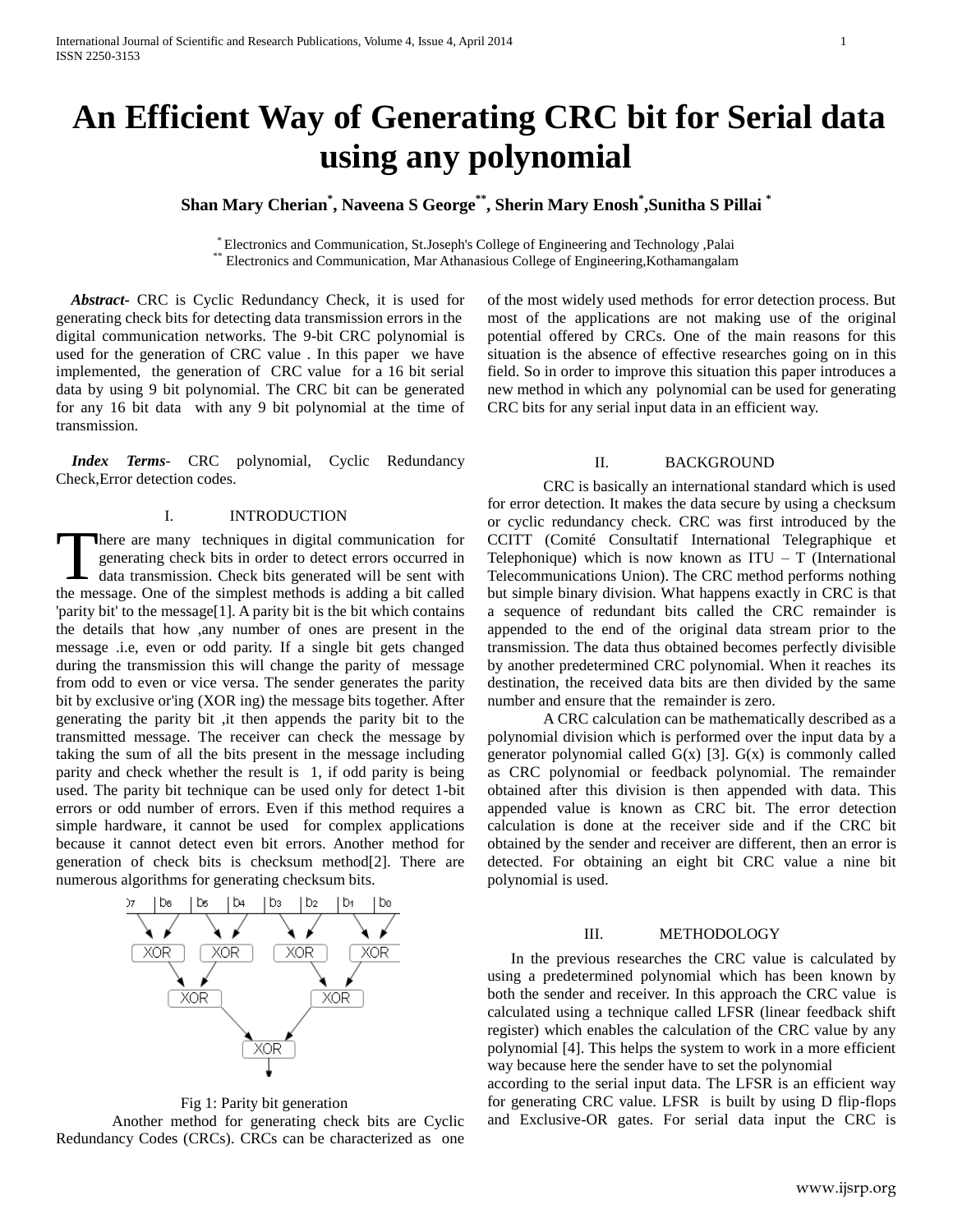# **An Efficient Way of Generating CRC bit for Serial data using any polynomial**

**Shan Mary Cherian\* , Naveena S George\*\*, Sherin Mary Enosh\* ,Sunitha S Pillai \***

\* Electronics and Communication, St.Joseph's College of Engineering and Technology ,Palai \*\* Electronics and Communication, Mar Athanasious College of Engineering,Kothamangalam

 *Abstract***-** CRC is Cyclic Redundancy Check, it is used for generating check bits for detecting data transmission errors in the digital communication networks. The 9-bit CRC polynomial is used for the generation of CRC value . In this paper we have implemented, the generation of CRC value for a 16 bit serial data by using 9 bit polynomial. The CRC bit can be generated for any 16 bit data with any 9 bit polynomial at the time of transmission.

 *Index Terms*- CRC polynomial, Cyclic Redundancy Check,Error detection codes.

#### I. INTRODUCTION

here are many techniques in digital communication for generating check bits in order to detect errors occurred in data transmission. Check bits generated will be sent with There are many techniques in digital communication for generating check bits in order to detect errors occurred in data transmission. Check bits generated will be sent with the message. One of the simplest methods is addin 'parity bit' to the message[1]. A parity bit is the bit which contains the details that how ,any number of ones are present in the message .i.e, even or odd parity. If a single bit gets changed during the transmission this will change the parity of message from odd to even or vice versa. The sender generates the parity bit by exclusive or'ing (XOR ing) the message bits together. After generating the parity bit ,it then appends the parity bit to the transmitted message. The receiver can check the message by taking the sum of all the bits present in the message including parity and check whether the result is 1, if odd parity is being used. The parity bit technique can be used only for detect 1-bit errors or odd number of errors. Even if this method requires a simple hardware, it cannot be used for complex applications because it cannot detect even bit errors. Another method for generation of check bits is checksum method[2]. There are numerous algorithms for generating checksum bits.



Fig 1: Parity bit generation

Another method for generating check bits are Cyclic Redundancy Codes (CRCs). CRCs can be characterized as one of the most widely used methods for error detection process. But most of the applications are not making use of the original potential offered by CRCs. One of the main reasons for this situation is the absence of effective researches going on in this field. So in order to improve this situation this paper introduces a new method in which any polynomial can be used for generating CRC bits for any serial input data in an efficient way.

## II. BACKGROUND

CRC is basically an international standard which is used for error detection. It makes the data secure by using a checksum or cyclic redundancy check. CRC was first introduced by the CCITT (Comité Consultatif International Telegraphique et Telephonique) which is now known as  $ITU - T$  (International Telecommunications Union). The CRC method performs nothing but simple binary division. What happens exactly in CRC is that a sequence of redundant bits called the CRC remainder is appended to the end of the original data stream prior to the transmission. The data thus obtained becomes perfectly divisible by another predetermined CRC polynomial. When it reaches its destination, the received data bits are then divided by the same number and ensure that the remainder is zero.

A CRC calculation can be mathematically described as a polynomial division which is performed over the input data by a generator polynomial called  $G(x)$  [3].  $G(x)$  is commonly called as CRC polynomial or feedback polynomial. The remainder obtained after this division is then appended with data. This appended value is known as CRC bit. The error detection calculation is done at the receiver side and if the CRC bit obtained by the sender and receiver are different, then an error is detected. For obtaining an eight bit CRC value a nine bit polynomial is used.

## III. METHODOLOGY

 In the previous researches the CRC value is calculated by using a predetermined polynomial which has been known by both the sender and receiver. In this approach the CRC value is calculated using a technique called LFSR (linear feedback shift register) which enables the calculation of the CRC value by any polynomial [4]. This helps the system to work in a more efficient way because here the sender have to set the polynomial

according to the serial input data. The LFSR is an efficient way for generating CRC value. LFSR is built by using D flip-flops and Exclusive-OR gates. For serial data input the CRC is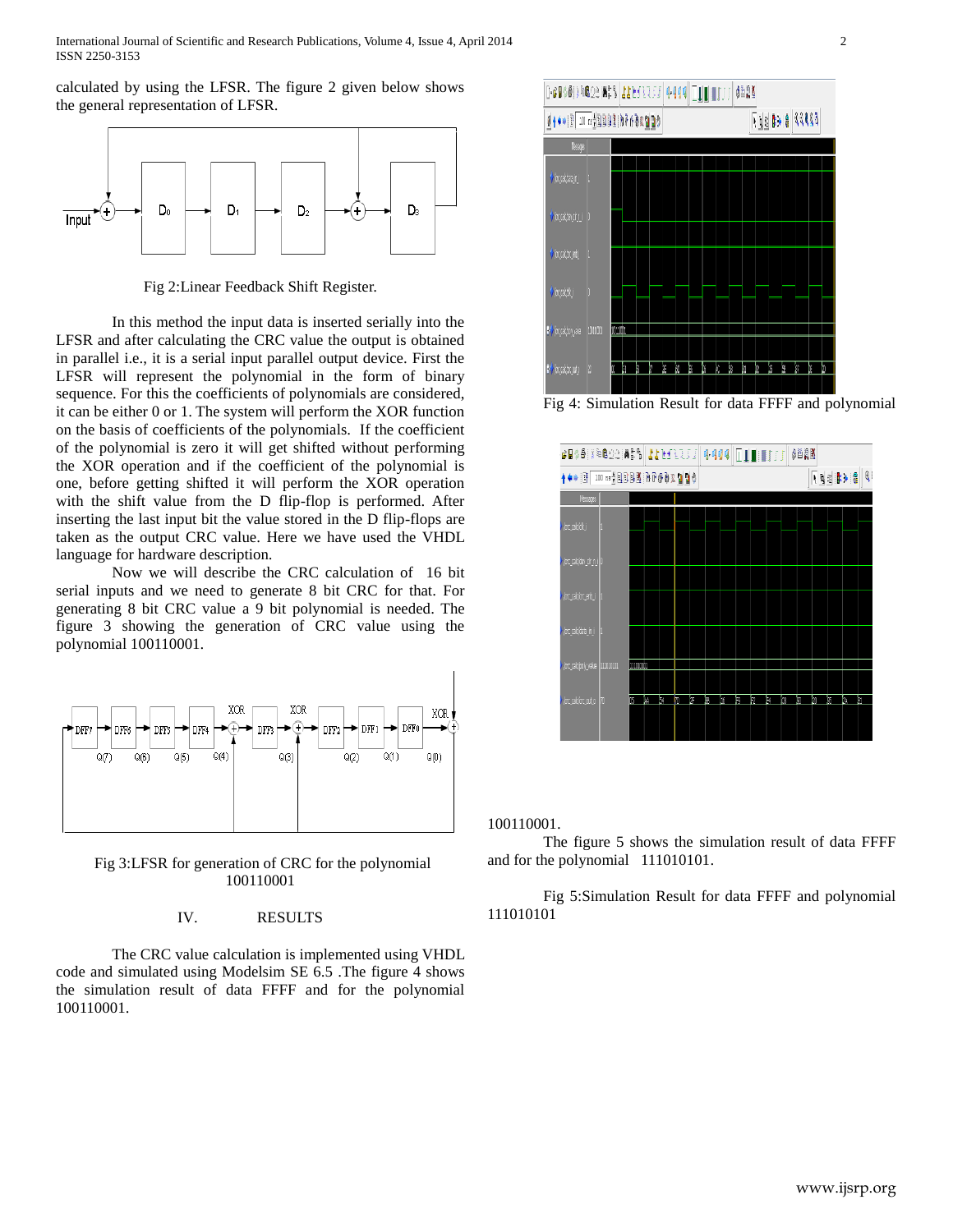International Journal of Scientific and Research Publications, Volume 4, Issue 4, April 2014 2 ISSN 2250-3153

calculated by using the LFSR. The figure 2 given below shows the general representation of LFSR.



Fig 2:Linear Feedback Shift Register.

In this method the input data is inserted serially into the LFSR and after calculating the CRC value the output is obtained in parallel i.e., it is a serial input parallel output device. First the LFSR will represent the polynomial in the form of binary sequence. For this the coefficients of polynomials are considered, it can be either 0 or 1. The system will perform the XOR function on the basis of coefficients of the polynomials. If the coefficient of the polynomial is zero it will get shifted without performing the XOR operation and if the coefficient of the polynomial is one, before getting shifted it will perform the XOR operation with the shift value from the D flip-flop is performed. After inserting the last input bit the value stored in the D flip-flops are taken as the output CRC value. Here we have used the VHDL language for hardware description.

Now we will describe the CRC calculation of 16 bit serial inputs and we need to generate 8 bit CRC for that. For generating 8 bit CRC value a 9 bit polynomial is needed. The figure 3 showing the generation of CRC value using the polynomial 100110001.



Fig 3:LFSR for generation of CRC for the polynomial 100110001

## IV. RESULTS

The CRC value calculation is implemented using VHDL code and simulated using Modelsim SE 6.5 .The figure 4 shows the simulation result of data FFFF and for the polynomial 100110001.



Fig 4: Simulation Result for data FFFF and polynomial



100110001.

The figure 5 shows the simulation result of data FFFF and for the polynomial 111010101.

Fig 5:Simulation Result for data FFFF and polynomial 111010101